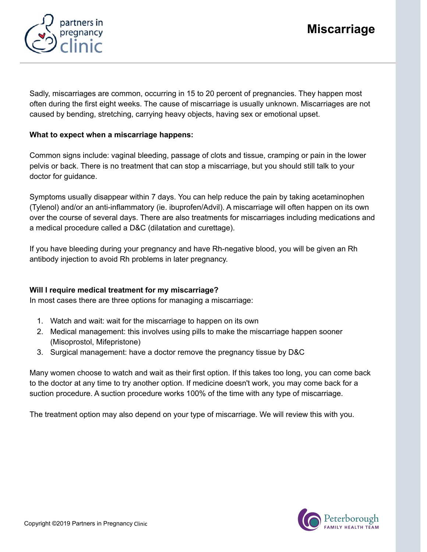

Sadly, miscarriages are common, occurring in 15 to 20 percent of pregnancies. They happen most often during the first eight weeks. The cause of miscarriage is usually unknown. Miscarriages are not caused by bending, stretching, carrying heavy objects, having sex or emotional upset.

# What to expect when a miscarriage happens:

Common signs include: vaginal bleeding, passage of clots and tissue, cramping or pain in the lower pelvis or back. There is no treatment that can stop a miscarriage, but you should still talk to your doctor for guidance.

Symptoms usually disappear within 7 days. You can help reduce the pain by taking acetaminophen (Tylenol) and/or an anti-inflammatory (ie. ibuprofen/Advil). A miscarriage will often happen on its own over the course of several days. There are also treatments for miscarriages including medications and a medical procedure called a D&C (dilatation and curettage).

If you have bleeding during your pregnancy and have Rh-negative blood, you will be given an Rh antibody injection to avoid Rh problems in later pregnancy.

# Will I require medical treatment for my miscarriage?

In most cases there are three options for managing a miscarriage:

- 1. Watch and wait: wait for the miscarriage to happen on its own
- 2. Medical management: this involves using pills to make the miscarriage happen sooner (Misoprostol, Mifepristone)
- 3. Surgical management: have a doctor remove the pregnancy tissue by D&C

Many women choose to watch and wait as their first option. If this takes too long, you can come back to the doctor at any time to try another option. If medicine doesn't work, you may come back for a suction procedure. A suction procedure works 100% of the time with any type of miscarriage.

The treatment option may also depend on your type of miscarriage. We will review this with you.